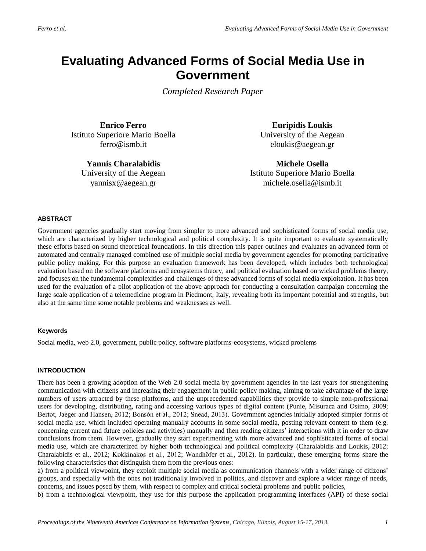# **Evaluating Advanced Forms of Social Media Use in Government**

*Completed Research Paper*

**Enrico Ferro** Istituto Superiore Mario Boella ferro@ismb.it

**Yannis Charalabidis** University of the Aegean yannisx@aegean.gr

**Euripidis Loukis** University of the Aegean eloukis@aegean.gr

**Michele Osella**  Istituto Superiore Mario Boella michele.osella@ismb.it

#### **ABSTRACT**

Government agencies gradually start moving from simpler to more advanced and sophisticated forms of social media use, which are characterized by higher technological and political complexity. It is quite important to evaluate systematically these efforts based on sound theoretical foundations. In this direction this paper outlines and evaluates an advanced form of automated and centrally managed combined use of multiple social media by government agencies for promoting participative public policy making. For this purpose an evaluation framework has been developed, which includes both technological evaluation based on the software platforms and ecosystems theory, and political evaluation based on wicked problems theory, and focuses on the fundamental complexities and challenges of these advanced forms of social media exploitation. It has been used for the evaluation of a pilot application of the above approach for conducting a consultation campaign concerning the large scale application of a telemedicine program in Piedmont, Italy, revealing both its important potential and strengths, but also at the same time some notable problems and weaknesses as well.

#### **Keywords**

Social media, web 2.0, government, public policy, software platforms-ecosystems, wicked problems

#### **INTRODUCTION**

There has been a growing adoption of the Web 2.0 social media by government agencies in the last years for strengthening communication with citizens and increasing their engagement in public policy making, aiming to take advantage of the large numbers of users attracted by these platforms, and the unprecedented capabilities they provide to simple non-professional users for developing, distributing, rating and accessing various types of digital content (Punie, Misuraca and Osimo, 2009; Bertot, Jaeger and Hansen, 2012; Bonsón et al., 2012; Snead, 2013). Government agencies initially adopted simpler forms of social media use, which included operating manually accounts in some social media, posting relevant content to them (e.g. concerning current and future policies and activities) manually and then reading citizens" interactions with it in order to draw conclusions from them. However, gradually they start experimenting with more advanced and sophisticated forms of social media use, which are characterized by higher both technological and political complexity (Charalabidis and Loukis, 2012; Charalabidis et al., 2012; Kokkinakos et al., 2012; Wandhöfer et al., 2012). In particular, these emerging forms share the following characteristics that distinguish them from the previous ones:

a) from a political viewpoint, they exploit multiple social media as communication channels with a wider range of citizens" groups, and especially with the ones not traditionally involved in politics, and discover and explore a wider range of needs, concerns, and issues posed by them, with respect to complex and critical societal problems and public policies,

b) from a technological viewpoint, they use for this purpose the application programming interfaces (API) of these social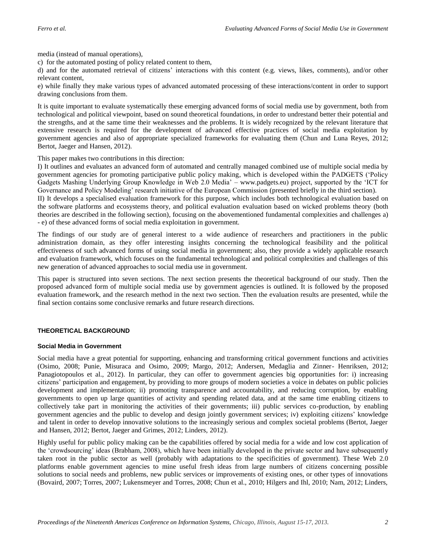media (instead of manual operations),

c) for the automated posting of policy related content to them,

d) and for the automated retrieval of citizens" interactions with this content (e.g. views, likes, comments), and/or other relevant content,

e) while finally they make various types of advanced automated processing of these interactions/content in order to support drawing conclusions from them.

It is quite important to evaluate systematically these emerging advanced forms of social media use by government, both from technological and political viewpoint, based on sound theoretical foundations, in order to undrestand better their potential and the strengths, and at the same time their weaknesses and the problems. It is widely recognized by the relevant literature that extensive research is required for the development of advanced effective practices of social media exploitation by government agencies and also of appropriate specialized frameworks for evaluating them (Chun and Luna Reyes, 2012; Bertot, Jaeger and Hansen, 2012).

This paper makes two contributions in this direction:

I) It outlines and evaluates an advanced form of automated and centrally managed combined use of multiple social media by government agencies for promoting participative public policy making, which is developed within the PADGETS ("Policy Gadgets Mashing Underlying Group Knowledge in Web 2.0 Media" – [www.padgets.eu\)](http://www.padgets.eu/) project, supported by the "ICT for Governance and Policy Modeling' research initiative of the European Commission (presented briefly in the third section).

II) It develops a specialised evaluation framework for this purpose, which includes both technological evaluation based on the software platforms and ecosystems theory, and political evaluation evaluation based on wicked problems theory (both theories are described in the following section), focusing on the abovementioned fundamental complexities and challenges a) - e) of these advanced forms of social media exploitation in government.

The findings of our study are of general interest to a wide audience of researchers and practitioners in the public administration domain, as they offer interesting insights concerning the technological feasibility and the political effectiveness of such advanced forms of using social media in government; also, they provide a widely applicable research and evaluation framework, which focuses on the fundamental technological and political complexities and challenges of this new generation of advanced approaches to social media use in government.

This paper is structured into seven sections. The next section presents the theoretical background of our study. Then the proposed advanced form of multiple social media use by government agencies is outlined. It is followed by the proposed evaluation framework, and the research method in the next two section. Then the evaluation results are presented, while the final section contains some conclusive remarks and future research directions.

# **THEORETICAL BACKGROUND**

# **Social Media in Government**

Social media have a great potential for supporting, enhancing and transforming critical government functions and activities (Osimo, 2008; Punie, Misuraca and Osimo, 2009; Margo, 2012; Andersen, Medaglia and Zinner- Henriksen, 2012; Panagiotopoulos et al., 2012). In particular, they can offer to government agencies big opportunities for: i) increasing citizens" participation and engagement, by providing to more groups of modern societies a voice in debates on public policies development and implementation; ii) promoting transparence and accountability, and reducing corruption, by enabling governments to open up large quantities of activity and spending related data, and at the same time enabling citizens to collectively take part in monitoring the activities of their governments; iii) public services co-production, by enabling government agencies and the public to develop and design jointly government services; iv) exploiting citizens" knowledge and talent in order to develop innovative solutions to the increasingly serious and complex societal problems (Bertot, Jaeger and Hansen, 2012; Bertot, Jaeger and Grimes, 2012; Linders, 2012).

Highly useful for public policy making can be the capabilities offered by social media for a wide and low cost application of the "crowdsourcing" ideas (Brabham, 2008), which have been initially developed in the private sector and have subsequently taken root in the public sector as well (probably with adaptations to the specificities of government). These Web 2.0 platforms enable government agencies to mine useful fresh ideas from large numbers of citizens concerning possible solutions to social needs and problems, new public services or improvements of existing ones, or other types of innovations (Bovaird, 2007; Torres, 2007; Lukensmeyer and Torres, 2008; Chun et al., 2010; Hilgers and Ihl, 2010; Nam, 2012; Linders,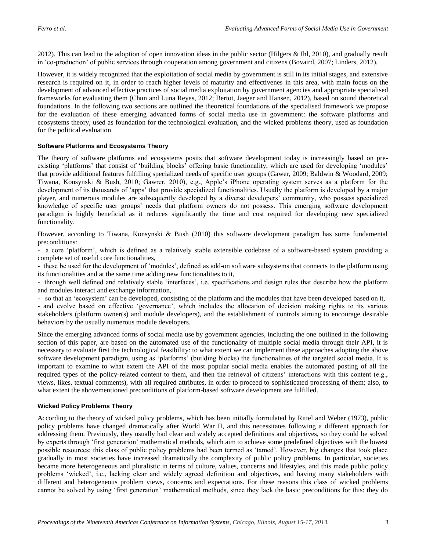2012). This can lead to the adoption of open innovation ideas in the public sector (Hilgers & Ihl, 2010), and gradually result in "co-production" of public services through cooperation among government and citizens (Bovaird, 2007; Linders, 2012).

However, it is widely recognized that the exploitation of social media by government is still in its initial stages, and extensive research is required on it, in order to reach higher levels of maturity and effectivenes in this area, with main focus on the development of advanced effective practices of social media exploitation by government agencies and appropriate specialised frameworks for evaluating them (Chun and Luna Reyes, 2012; Bertot, Jaeger and Hansen, 2012), based on sound theoretical foundations. In the following two sections are outlined the theoretical foundations of the specialised framework we propose for the evaluation of these emerging advanced forms of social media use in government: the software platforms and ecosystems theory, used as foundation for the technological evaluation, and the wicked problems theory, used as foundation for the political evaluation.

# **Software Platforms and Ecosystems Theory**

The theory of software platforms and ecosystems posits that software development today is increasingly based on preexisting 'platforms' that consist of 'building blocks' offering basic functionality, which are used for developing 'modules' that provide additional features fulfilling specialized needs of specific user groups (Gawer, 2009; Baldwin & Woodard, 2009; Tiwana, Konsynski & Bush, 2010; Gawrer, 2010), e.g., Apple"s iPhone operating system serves as a platform for the development of its thousands of "apps" that provide specialized functionalities. Usually the platform is developed by a major player, and numerous modules are subsequently developed by a diverse developers" community, who possess specialized knowledge of specific user groups" needs that platform owners do not possess. This emerging software development paradigm is highly beneficial as it reduces significantly the time and cost required for developing new specialized functionality.

However, according to Tiwana, Konsynski & Bush (2010) this software development paradigm has some fundamental preconditions:

- a core "platform", which is defined as a relatively stable extensible codebase of a software-based system providing a complete set of useful core functionalities,

- these be used for the development of "modules", defined as add-on software subsystems that connects to the platform using its functionalities and at the same time adding new functionalities to it,

- through well defined and relatively stable "interfaces", i.e. specifications and design rules that describe how the platform and modules interact and exchange information,

- so that an 'ecosystem' can be developed, consisting of the platform and the modules that have been developed based on it,

- and evolve based on effective 'governance', which includes the allocation of decision making rights to its various stakeholders (platform owner(s) and module developers), and the establishment of controls aiming to encourage desirable behaviors by the usually numerous module developers.

Since the emerging advanced forms of social media use by government agencies, including the one outlined in the following section of this paper, are based on the automated use of the functionality of multiple social media through their API, it is necessary to evaluate first the technological feasibility: to what extent we can implement these approaches adopting the above software development paradigm, using as 'platforms' (building blocks) the functionalities of the targeted social media. It is important to examine to what extent the API of the most popular social media enables the automated posting of all the required types of the policy-related content to them, and then the retrieval of citizens" interactions with this content (e.g., views, likes, textual comments), with all required attributes, in order to proceed to sophisticated processing of them; also, to what extent the abovementioned preconditions of platform-based software development are fulfilled.

## **Wicked Policy Problems Theory**

According to the theory of wicked policy problems, which has been initially formulated by Rittel and Weber (1973), public policy problems have changed dramatically after World War II, and this necessitates following a different approach for addressing them. Previously, they usually had clear and widely accepted definitions and objectives, so they could be solved by experts through "first generation" mathematical methods, which aim to achieve some predefined objectives with the lowest possible resources; this class of public policy problems had been termed as "tamed". However, big changes that took place gradually in most societies have increased dramatically the complexity of public policy problems. In particular, societies became more heterogeneous and pluralistic in terms of culture, values, concerns and lifestyles, and this made public policy problems "wicked", i.e., lacking clear and widely agreed definition and objectives, and having many stakeholders with different and heterogeneous problem views, concerns and expectations. For these reasons this class of wicked problems cannot be solved by using "first generation" mathematical methods, since they lack the basic preconditions for this: they do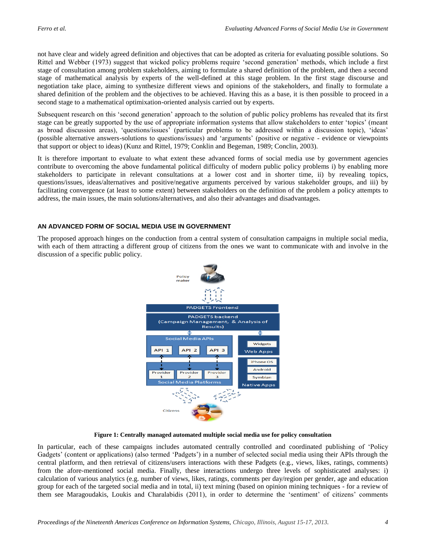not have clear and widely agreed definition and objectives that can be adopted as criteria for evaluating possible solutions. So Rittel and Webber (1973) suggest that wicked policy problems require "second generation" methods, which include a first stage of consultation among problem stakeholders, aiming to formulate a shared definition of the problem, and then a second stage of mathematical analysis by experts of the well-defined at this stage problem. In the first stage discourse and negotiation take place, aiming to synthesize different views and opinions of the stakeholders, and finally to formulate a shared definition of the problem and the objectives to be achieved. Having this as a base, it is then possible to proceed in a second stage to a mathematical optimixation-oriented analysis carried out by experts.

Subsequent research on this "second generation" approach to the solution of public policy problems has revealed that its first stage can be greatly supported by the use of appropriate information systems that allow stakeholders to enter "topics" (meant as broad discussion areas), "questions/issues" (particular problems to be addressed within a discussion topic), "ideas" (possible alternative answers-solutions to questions/issues) and "arguments" (positive or negative - evidence or viewpoints that support or object to ideas) (Kunz and Rittel, 1979; Conklin and Begeman, 1989; Conclin, 2003).

It is therefore important to evaluate to what extent these advanced forms of social media use by government agencies contribute to overcoming the above fundamental political difficulty of modern public policy problems i) by enabling more stakeholders to participate in relevant consultations at a lower cost and in shorter time, ii) by revealing topics, questions/issues, ideas/alternatives and positive/negative arguments perceived by various stakeholder groups, and iii) by facilitating convergence (at least to some extent) between stakeholders on the definition of the problem a policy attempts to address, the main issues, the main solutions/alternatives, and also their advantages and disadvantages.

## **AN ADVANCED FORM OF SOCIAL MEDIA USE IN GOVERNMENT**

The proposed approach hinges on the conduction from a central system of consultation campaigns in multiple social media, with each of them attracting a different group of citizens from the ones we want to communicate with and involve in the discussion of a specific public policy.



**Figure 1: Centrally managed automated multiple social media use for policy consultation** 

In particular, each of these campaigns includes automated centrally controlled and coordinated publishing of "Policy Gadgets" (content or applications) (also termed "Padgets") in a number of selected social media using their APIs through the central platform, and then retrieval of citizens/users interactions with these Padgets (e.g., views, likes, ratings, comments) from the afore-mentioned social media. Finally, these interactions undergo three levels of sophisticated analyses: i) calculation of various analytics (e.g. number of views, likes, ratings, comments per day/region per gender, age and education group for each of the targeted social media and in total, ii) text mining (based on opinion mining techniques - for a review of them see Maragoudakis, Loukis and Charalabidis (2011), in order to determine the "sentiment" of citizens" comments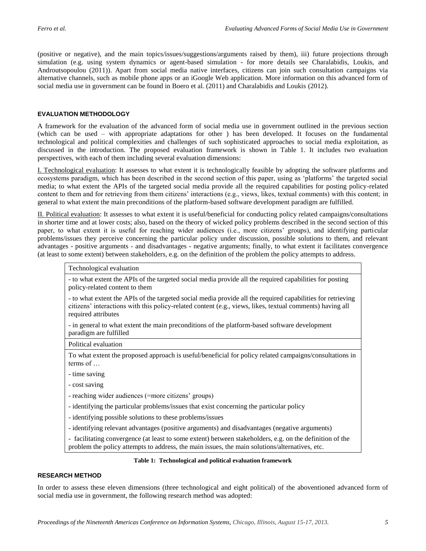(positive or negative), and the main topics/issues/suggestions/arguments raised by them), iii) future projections through simulation (e.g. using system dynamics or agent-based simulation - for more details see Charalabidis, Loukis, and Androutsopoulou (2011)). Apart from social media native interfaces, citizens can join such consultation campaigns via alternative channels, such as mobile phone apps or an iGoogle Web application. More information on this advanced form of social media use in government can be found in Boero et al. (2011) and Charalabidis and Loukis (2012).

#### **EVALUATION METHODOLOGY**

A framework for the evaluation of the advanced form of social media use in government outlined in the previous section (which can be used – with appropriate adaptations for other ) has been developed. It focuses on the fundamental technological and political complexities and challenges of such sophisticated approaches to social media exploitation, as discussed in the introduction. The proposed evaluation framework is shown in Table 1. It includes two evaluation perspectives, with each of them including several evaluation dimensions:

I. Technological evaluation: It assesses to what extent it is technologically feasible by adopting the software platforms and ecosystems paradigm, which has been described in the second section of this paper, using as "platforms" the targeted social media; to what extent the APIs of the targeted social media provide all the required capabilities for posting policy-related content to them and for retrieving from them citizens" interactions (e.g., views, likes, textual comments) with this content; in general to what extent the main preconditions of the platform-based software development paradigm are fulfilled.

II. Political evaluation: It assesses to what extent it is useful/beneficial for conducting policy related campaigns/consultations in shorter time and at lower costs; also, based on the theory of wicked policy problems described in the second section of this paper, to what extent it is useful for reaching wider audiences (i.e., more citizens" groups), and identifying particular problems/issues they perceive concerning the particular policy under discussion, possible solutions to them, and relevant advantages - positive arguments - and disadvantages - negative arguments; finally, to what extent it facilitates convergence (at least to some extent) between stakeholders, e.g. on the definition of the problem the policy attempts to address.

#### Technological evaluation

- to what extent the APIs of the targeted social media provide all the required capabilities for posting policy-related content to them

- to what extent the APIs of the targeted social media provide all the required capabilities for retrieving citizens" interactions with this policy-related content (e.g., views, likes, textual comments) having all required attributes

- in general to what extent the main preconditions of the platform-based software development paradigm are fulfilled

Political evaluation

To what extent the proposed approach is useful/beneficial for policy related campaigns/consultations in terms of …

- time saving
- cost saving

- reaching wider audiences (=more citizens' groups)

- identifying the particular problems/issues that exist concerning the particular policy

- identifying possible solutions to these problems/issues

- identifying relevant advantages (positive arguments) and disadvantages (negative arguments)

- facilitating convergence (at least to some extent) between stakeholders, e.g. on the definition of the problem the policy attempts to address, the main issues, the main solutions/alternatives, etc.

#### **Table 1: Technological and political evaluation framework**

#### **RESEARCH METHOD**

In order to assess these eleven dimensions (three technological and eight political) of the aboventioned advanced form of social media use in government, the following research method was adopted: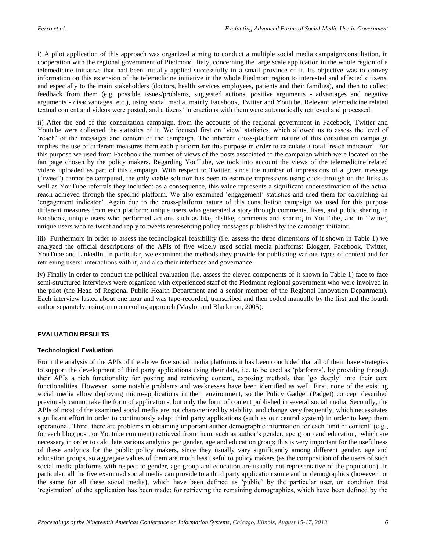i) A pilot application of this approach was organized aiming to conduct a multiple social media campaign/consultation, in cooperation with the regional government of Piedmond, Italy, concerning the large scale application in the whole region of a telemedicine initiative that had been initially applied successfully in a small province of it. Its objective was to convey information on this extension of the telemedicine initiative in the whole Piedmont region to interested and affected citizens, and especially to the main stakeholders (doctors, health services employees, patients and their families), and then to collect feedback from them (e.g. possible issues/problems, suggested actions, positive arguments - advantages and negative arguments - disadvantages, etc.), using social media, mainly Facebook, Twitter and Youtube. Relevant telemedicine related textual content and videos were posted, and citizens" interactions with them were automatically retrieved and processed.

ii) After the end of this consultation campaign, from the accounts of the regional government in Facebook, Twitter and Youtube were collected the statistics of it. We focused first on "view" statistics, which allowed us to assess the level of "reach" of the messages and content of the campaign. The inherent cross-platform nature of this consultation campaign implies the use of different measures from each platform for this purpose in order to calculate a total "reach indicator". For this purpose we used from Facebook the number of views of the posts associated to the campaign which were located on the fan page chosen by the policy makers. Regarding YouTube, we took into account the views of the telemedicine related videos uploaded as part of this campaign. With respect to Twitter, since the number of impressions of a given message ("tweet") cannot be computed, the only viable solution has been to estimate impressions using click-through on the links as well as YouTube referrals they included: as a consequence, this value represents a significant underestimation of the actual reach achieved through the specific platform. We also examined "engagement" statistics and used them for calculating an "engagement indicator". Again due to the cross-platform nature of this consultation campaign we used for this purpose different measures from each platform: unique users who generated a story through comments, likes, and public sharing in Facebook, unique users who performed actions such as like, dislike, comments and sharing in YouTube, and in Twitter, unique users who re-tweet and reply to tweets representing policy messages published by the campaign initiator.

iii) Furthermore in order to assess the technological feasibility (i.e. assess the three dimensions of it shown in Table 1) we analyzed the official descriptions of the APIs of five widely used social media platforms: Blogger, Facebook, Twitter, YouTube and LinkedIn. In particular, we examined the methods they provide for publishing various types of content and for retrieving users' interactions with it, and also their interfaces and governance.

iv) Finally in order to conduct the political evaluation (i.e. assess the eleven components of it shown in Table 1) face to face semi-structured interviews were organized with experienced staff of the Piedmont regional government who were involved in the pilot (the Head of Regional Public Health Department and a senior member of the Regional Innovation Department). Each interview lasted about one hour and was tape-recorded, transcribed and then coded manually by the first and the fourth author separately, using an open coding approach (Maylor and Blackmon, 2005).

# **EVALUATION RESULTS**

#### **Technological Evaluation**

From the analysis of the APIs of the above five social media platforms it has been concluded that all of them have strategies to support the development of third party applications using their data, i.e. to be used as "platforms", by providing through their APIs a rich functionality for posting and retrieving content, exposing methods that "go deeply" into their core functionalities. However, some notable problems and weaknesses have been identified as well. First, none of the existing social media allow deploying micro-applications in their environment, so the Policy Gadget (Padget) concept described previously cannot take the form of applications, but only the form of content published in several social media. Secondly, the APIs of most of the examined social media are not characterized by stability, and change very frequently, which necessitates significant effort in order to continuously adapt third party applications (such as our central system) in order to keep them operational. Third, there are problems in obtaining important author demographic information for each "unit of content" (e.g., for each blog post, or Youtube comment) retrieved from them, such as author"s gender, age group and education, which are necessary in order to calculate various analytics per gender, age and education group; this is very important for the usefulness of these analytics for the public policy makers, since they usually vary significantly among different gender, age and education groups, so aggregate values of them are much less useful to policy makers (as the composition of the users of such social media platforms with respect to gender, age group and education are usually not representative of the population). In particular, all the five examined social media can provide to a third party application some author demographics (however not the same for all these social media), which have been defined as "public" by the particular user, on condition that "registration" of the application has been made; for retrieving the remaining demographics, which have been defined by the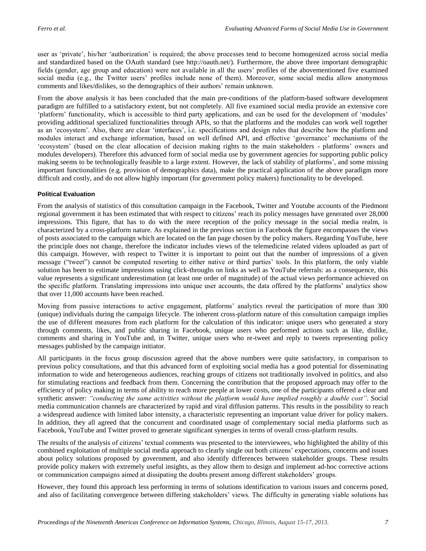user as 'private', his/her 'authorization' is required; the above processes tend to become homogenized across social media and standardized based on the OAuth standard (see http://oauth.net/). Furthermore, the above three important demographic fields (gender, age group and education) were not available in all the users" profiles of the abovementioned five examined social media (e.g., the Twitter users' profiles include none of them). Moreover, some social media allow anonymous comments and likes/dislikes, so the demographics of their authors" remain unknown.

From the above analysis it has been concluded that the main pre-conditions of the platform-based software development paradigm are fulfilled to a satisfactory extent, but not completely. All five examined social media provide an extensive core "platform" functionality, which is accessible to third party applications, and can be used for the development of "modules" providing additional specialized functionalities through APIs, so that the platforms and the modules can work well together as an "ecosystem". Also, there are clear "interfaces", i.e. specifications and design rules that describe how the platform and modules interact and exchange information, based on well defined API, and effective "governance" mechanisms of the "ecosystem" (based on the clear allocation of decision making rights to the main stakeholders - platforms" owners and modules developers). Therefore this advanced form of social media use by government agencies for supporting public policy making seems to be technologically feasible to a large extent. However, the lack of stability of platforms", and some missing important functionalities (e.g. provision of demographics data), make the practical application of the above paradigm more difficult and costly, and do not allow highly important (for government policy makers) functionality to be developed.

## **Political Evaluation**

From the analysis of statistics of this consultation campaign in the Facebook, Twitter and Youtube accounts of the Piedmont regional government it has been estimated that with respect to citizens' reach its policy messages have generated over 28,000 impressions. This figure, that has to do with the mere reception of the policy message in the social media realm, is characterized by a cross-platform nature. As explained in the previous section in Facebook the figure encompasses the views of posts associated to the campaign which are located on the fan page chosen by the policy makers. Regarding YouTube, here the principle does not change, therefore the indicator includes views of the telemedicine related videos uploaded as part of this campaign. However, with respect to Twitter it is important to point out that the number of impressions of a given message ("tweet") cannot be computed resorting to either native or third parties" tools. In this platform, the only viable solution has been to estimate impressions using click-throughs on links as well as YouTube referrals: as a consequence, this value represents a significant underestimation (at least one order of magnitude) of the actual views performance achieved on the specific platform. Translating impressions into unique user accounts, the data offered by the platforms" analytics show that over 11,000 accounts have been reached.

Moving from passive interactions to active engagement, platforms" analytics reveal the participation of more than 300 (unique) individuals during the campaign lifecycle. The inherent cross-platform nature of this consultation campaign implies the use of different measures from each platform for the calculation of this indicator: unique users who generated a story through comments, likes, and public sharing in Facebook, unique users who performed actions such as like, dislike, comments and sharing in YouTube and, in Twitter, unique users who re-tweet and reply to tweets representing policy messages published by the campaign initiator.

All participants in the focus group discussion agreed that the above numbers were quite satisfactory, in comparison to previous policy consultations, and that this advanced form of exploiting social media has a good potential for disseminating information to wide and heterogeneous audiences, reaching groups of citizens not traditionally involved in politics, and also for stimulating reactions and feedback from them. Concerning the contribution that the proposed approach may offer to the efficiency of policy making in terms of ability to reach more people at lower costs, one of the participants offered a clear and synthetic answer: *"conducting the same activities without the platform would have implied roughly a double cost"*. Social media communication channels are characterized by rapid and viral diffusion patterns. This results in the possibility to reach a widespread audience with limited labor intensity, a characteristic representing an important value driver for policy makers. In addition, they all agreed that the concurrent and coordinated usage of complementary social media platforms such as Facebook, YouTube and Twitter proved to generate significant synergies in terms of overall cross-platform results.

The results of the analysis of citizens' textual comments was presented to the interviewees, who highlighted the ability of this combined exploitation of multiple social media approach to clearly single out both citizens" expectations, concerns and issues about policy solutions proposed by government, and also identify differences between stakeholder groups. These results provide policy makers with extremely useful insights, as they allow them to design and implement ad-hoc corrective actions or communication campaigns aimed at dissipating the doubts present among different stakeholders" groups.

However, they found this approach less performing in terms of solutions identification to various issues and concerns posed, and also of facilitating convergence between differing stakeholders" views. The difficulty in generating viable solutions has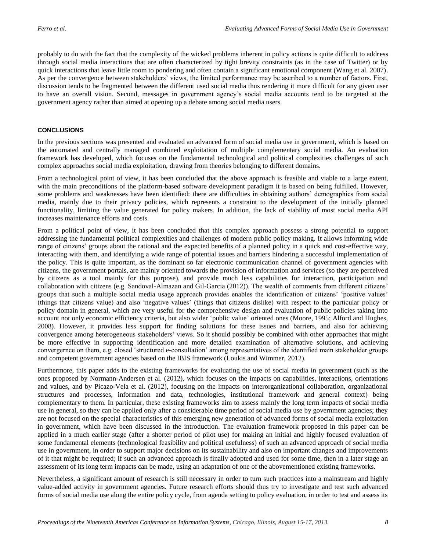probably to do with the fact that the complexity of the wicked problems inherent in policy actions is quite difficult to address through social media interactions that are often characterized by tight brevity constraints (as in the case of Twitter) or by quick interactions that leave little room to pondering and often contain a significant emotional component (Wang et al. 2007). As per the convergence between stakeholders" views, the limited performance may be ascribed to a number of factors. First, discussion tends to be fragmented between the different used social media thus rendering it more difficult for any given user to have an overall vision. Second, messages in government agency"s social media accounts tend to be targeted at the government agency rather than aimed at opening up a debate among social media users.

# **CONCLUSIONS**

In the previous sections was presented and evaluated an advanced form of social media use in government, which is based on the automated and centrally managed combined exploitation of multiple complementary social media. An evaluation framework has developed, which focuses on the fundamental technological and political complexities challenges of such complex approaches social media exploitation, drawing from theories belonging to different domains.

From a technological point of view, it has been concluded that the above approach is feasible and viable to a large extent, with the main preconditions of the platform-based software development paradigm it is based on being fulfilled. However, some problems and weaknesses have been identified: there are difficulties in obtaining authors" demographics from social media, mainly due to their privacy policies, which represents a constraint to the development of the initially planned functionality, limiting the value generated for policy makers. In addition, the lack of stability of most social media API increases maintenance efforts and costs.

From a political point of view, it has been concluded that this complex approach possess a strong potential to support addressing the fundamental political complexities and challenges of modern public policy making. It allows informing wide range of citizens" groups about the rational and the expected benefits of a planned policy in a quick and cost-effective way, interacting with them, and identifying a wide range of potential issues and barriers hindering a successful implementation of the policy. This is quite important, as the dominant so far electronic communication channel of government agencies with citizens, the government portals, are mainly oriented towards the provision of information and services (so they are perceived by citizens as a tool mainly for this purpose), and provide much less capabilities for interaction, participation and collaboration with citizens (e.g. Sandoval-Almazan and Gil-Garcia (2012)). The wealth of comments from different citizens" groups that such a multiple social media usage approach provides enables the identification of citizens" "positive values" (things that citizens value) and also "negative values" (things that citizens dislike) with respect to the particular policy or policy domain in general, which are very useful for the comprehensive design and evaluation of public policies taking into account not only economic efficiency criteria, but also wider "public value" oriented ones (Moore, 1995; Alford and Hughes, 2008). However, it provides less support for finding solutions for these issues and barriers, and also for achieving convergence among heterogeneous stakeholders" views. So it should possibly be combined with other approaches that might be more effective in supporting identification and more detailed examination of alternative solutions, and achieving convergernce on them, e.g. closed "structured e-consultation" among representatives of the identified main stakeholder groups and competent government agencies based on the IBIS framework (Loukis and Wimmer, 2012).

Furthermore, this paper adds to the existing frameworks for evaluating the use of social media in government (such as the ones proposed by Normann-Andersen et al. (2012), which focuses on the impacts on capabilities, interactions, orientations and values, and by Picazo-Vela et al. (2012), focusing on the impacts on interorganizational collaboration, organizational structures and processes, information and data, technologies, institutional framework and general context) being complementary to them. In particular, these existing frameworks aim to assess mainly the long term impacts of social media use in general, so they can be applied only after a considerable time period of social media use by government agencies; they are not focused on the special characteristics of this emerging new generation of advanced forms of social media exploitation in government, which have been discussed in the introduction. The evaluation framework proposed in this paper can be applied in a much earlier stage (after a shorter period of pilot use) for making an initial and highly focused evaluation of some fundamental elements (technological feasibility and political usefulness) of such an advanced approach of social media use in government, in order to support major decisions on its sustainability and also on important changes and improvements of it that might be required; if such an advanced approach is finally adopted and used for some time, then in a later stage an assessment of its long term impacts can be made, using an adaptation of one of the abovementioned existing frameworks.

Nevertheless, a significant amount of research is still necessary in order to turn such practices into a mainstream and highly value-added activity in government agencies. Future research efforts should thus try to investigate and test such advanced forms of social media use along the entire policy cycle, from agenda setting to policy evaluation, in order to test and assess its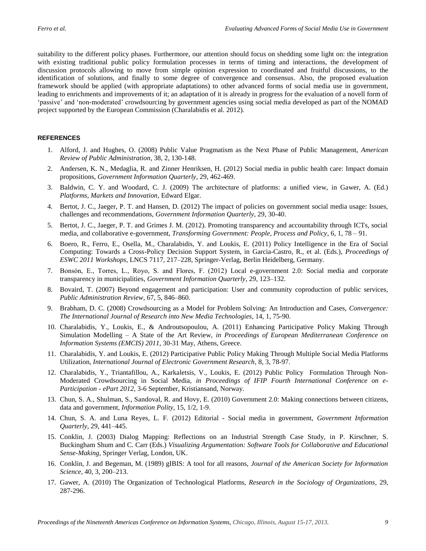suitability to the different policy phases. Furthermore, our attention should focus on shedding some light on: the integration with existing traditional public policy formulation processes in terms of timing and interactions, the development of discussion protocols allowing to move from simple opinion expression to coordinated and fruitful discussions, to the identification of solutions, and finally to some degree of convergence and consensus. Also, the proposed evaluation framework should be applied (with appropriate adaptations) to other advanced forms of social media use in government, leading to enrichments and improvements of it; an adaptation of it is already in progress for the evaluation of a novell form of "passive" and "non-moderated" crowdsourcing by government agencies using social media developed as part of the NOMAD project supported by the European Commission (Charalabidis et al. 2012).

#### **REFERENCES**

- 1. Alford, J. and Hughes, O. (2008) Public Value Pragmatism as the Next Phase of Public Management, *American Review of Public Administration*, 38, 2, 130-148.
- 2. Andersen, K. N., Medaglia, R. and Zinner Henriksen, H. (2012) Social media in public health care: Impact domain propositions, *Government Information Quarterly*, 29, 462-469.
- 3. Baldwin, C. Y. and Woodard, C. J. (2009) The architecture of platforms: a unified view, in Gawer, A. (Ed.) *Platforms, Markets and Innovation*, Edward Elgar.
- 4. Bertot, J. C., Jaeger, P. T. and Hansen, D. (2012) The impact of policies on government social media usage: Issues, challenges and recommendations, *Government Information Quarterly*, 29, 30-40.
- 5. Bertot, J. C., Jaeger, P. T. and Grimes J. M. (2012). Promoting transparency and accountability through ICTs, social media, and collaborative e-government, *Transforming Government: People, Process and Policy*, 6, 1, 78 – 91.
- 6. Boero, R., Ferro, E., Osella, M., Charalabidis, Y. and Loukis, E. (2011) Policy Intelligence in the Era of Social Computing: Towards a Cross-Policy Decision Support System, in Garcia-Castro, R., et al. (Eds.), *Proceedings of ESWC 2011 Workshops*, LNCS 7117, 217–228, Springer-Verlag, Berlin Heidelberg, Germany.
- 7. Bonsón, E., Torres, L., Royo, S. and Flores, F. (2012) Local e-government 2.0: Social media and corporate transparency in municipalities, *Government Information Quarterly*, 29, 123–132.
- 8. Bovaird, T. (2007) Beyond engagement and participation: User and community coproduction of public services, *Public Administration Review*, 67, 5, 846–860.
- 9. Brabham, D. C. (2008) Crowdsourcing as a Model for Problem Solving: An Introduction and Cases, *Convergence: The International Journal of Research into New Media Technologies*, 14, 1, 75-90.
- 10. Charalabidis, Y., Loukis, E., & Androutsopoulou, A. (2011) Enhancing Participative Policy Making Through Simulation Modelling – A State of the Art Review, *in Proceedings of European Mediterranean Conference on Information Systems (EMCIS) 2011*, 30-31 May, Athens, Greece.
- 11. Charalabidis, Y. and Loukis, E. (2012) Participative Public Policy Making Through Multiple Social Media Platforms Utilization, *International Journal of Electronic Government Research*, 8, 3, 78-97.
- 12. Charalabidis, Y., Triantafillou, A., Karkaletsis, V., Loukis, E. (2012) Public Policy Formulation Through Non-Moderated Crowdsourcing in Social Media, *in Proceedings of IFIP Fourth International Conference on e-Participation - ePart 2012*, 3-6 September, Kristiansand, Norway.
- 13. Chun, S. A., Shulman, S., Sandoval, R. and Hovy, E. (2010) Government 2.0: Making connections between citizens, data and government, *Information Polity*, 15, 1/2, 1-9.
- 14. Chun, S. A. and Luna Reyes, L. F. (2012) Editorial Social media in government, *Government Information Quarterly*, 29, 441–445.
- 15. Conklin, J. (2003) Dialog Mapping: Reflections on an Industrial Strength Case Study, in P. Kirschner, S. Buckingham Shum and C. Carr (Eds.) *Visualizing Argumentation: Software Tools for Collaborative and Educational Sense-Making*, Springer Verlag, London, UK.
- 16. Conklin, J. and Begeman, M. (1989) gIBIS: A tool for all reasons, *Journal of the American Society for Information Science*, 40, 3, 200–213.
- 17. Gawer, A. (2010) The Organization of Technological Platforms, *Research in the Sociology of Organizations*, 29, 287-296.